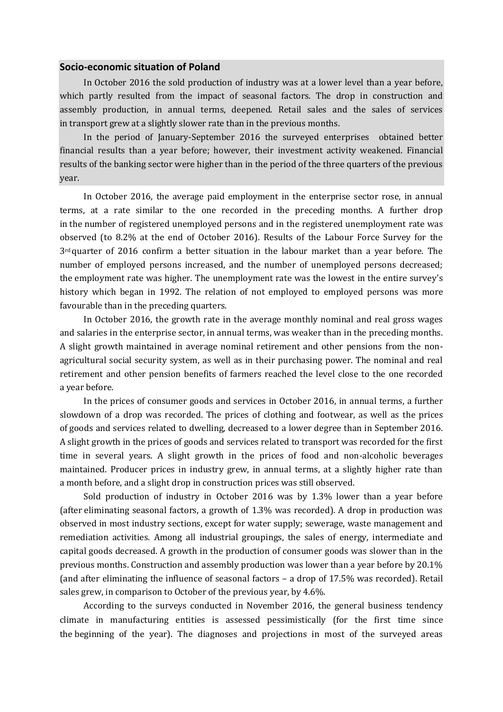## **Socio-economic situation of Poland**

In October 2016 the sold production of industry was at a lower level than a year before, which partly resulted from the impact of seasonal factors. The drop in construction and assembly production, in annual terms, deepened. Retail sales and the sales of services in transport grew at a slightly slower rate than in the previous months.

In the period of January-September 2016 the surveyed enterprises obtained better financial results than a year before; however, their investment activity weakened. Financial results of the banking sector were higher than in the period of the three quarters of the previous year.

In October 2016, the average paid employment in the enterprise sector rose, in annual terms, at a rate similar to the one recorded in the preceding months. A further drop in the number of registered unemployed persons and in the registered unemployment rate was observed (to 8.2% at the end of October 2016). Results of the Labour Force Survey for the  $3<sup>rd</sup>$  quarter of 2016 confirm a better situation in the labour market than a year before. The number of employed persons increased, and the number of unemployed persons decreased; the employment rate was higher. The unemployment rate was the lowest in the entire survey's history which began in 1992. The relation of not employed to employed persons was more favourable than in the preceding quarters.

In October 2016, the growth rate in the average monthly nominal and real gross wages and salaries in the enterprise sector, in annual terms, was weaker than in the preceding months. A slight growth maintained in average nominal retirement and other pensions from the nonagricultural social security system, as well as in their purchasing power. The nominal and real retirement and other pension benefits of farmers reached the level close to the one recorded a year before.

In the prices of consumer goods and services in October 2016, in annual terms, a further slowdown of a drop was recorded. The prices of clothing and footwear, as well as the prices of goods and services related to dwelling, decreased to a lower degree than in September 2016. A slight growth in the prices of goods and services related to transport was recorded for the first time in several years. A slight growth in the prices of food and non-alcoholic beverages maintained. Producer prices in industry grew, in annual terms, at a slightly higher rate than a month before, and a slight drop in construction prices was still observed.

Sold production of industry in October 2016 was by 1.3% lower than a year before (after eliminating seasonal factors, a growth of 1.3% was recorded). A drop in production was observed in most industry sections, except for water supply; sewerage, waste management and remediation activities. Among all industrial groupings, the sales of energy, intermediate and capital goods decreased. A growth in the production of consumer goods was slower than in the previous months. Construction and assembly production was lower than a year before by 20.1% (and after eliminating the influence of seasonal factors – a drop of 17.5% was recorded). Retail sales grew, in comparison to October of the previous year, by 4.6%.

According to the surveys conducted in November 2016, the general business tendency climate in manufacturing entities is assessed pessimistically (for the first time since the beginning of the year). The diagnoses and projections in most of the surveyed areas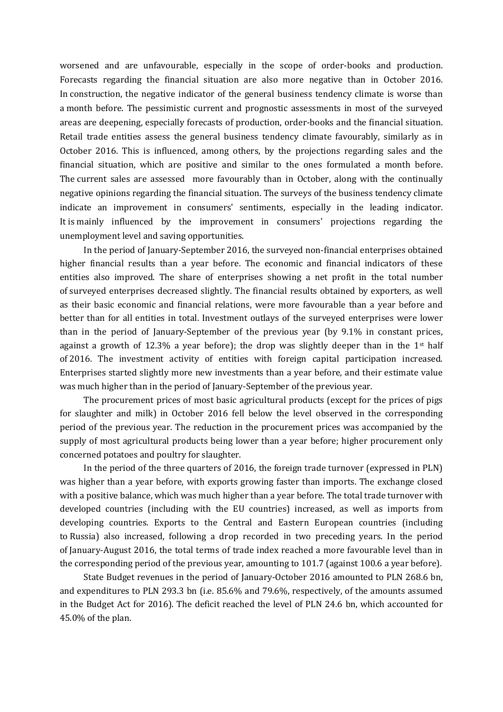worsened and are unfavourable, especially in the scope of order-books and production. Forecasts regarding the financial situation are also more negative than in October 2016. In construction, the negative indicator of the general business tendency climate is worse than a month before. The pessimistic current and prognostic assessments in most of the surveyed areas are deepening, especially forecasts of production, order-books and the financial situation. Retail trade entities assess the general business tendency climate favourably, similarly as in October 2016. This is influenced, among others, by the projections regarding sales and the financial situation, which are positive and similar to the ones formulated a month before. The current sales are assessed more favourably than in October, along with the continually negative opinions regarding the financial situation. The surveys of the business tendency climate indicate an improvement in consumers' sentiments, especially in the leading indicator. It is mainly influenced by the improvement in consumers' projections regarding the unemployment level and saving opportunities.

In the period of January-September 2016, the surveyed non-financial enterprises obtained higher financial results than a year before. The economic and financial indicators of these entities also improved. The share of enterprises showing a net profit in the total number of surveyed enterprises decreased slightly. The financial results obtained by exporters, as well as their basic economic and financial relations, were more favourable than a year before and better than for all entities in total. Investment outlays of the surveyed enterprises were lower than in the period of January-September of the previous year (by 9.1% in constant prices, against a growth of 12.3% a year before); the drop was slightly deeper than in the  $1<sup>st</sup>$  half of 2016. The investment activity of entities with foreign capital participation increased. Enterprises started slightly more new investments than a year before, and their estimate value was much higher than in the period of January-September of the previous year.

The procurement prices of most basic agricultural products (except for the prices of pigs for slaughter and milk) in October 2016 fell below the level observed in the corresponding period of the previous year. The reduction in the procurement prices was accompanied by the supply of most agricultural products being lower than a year before; higher procurement only concerned potatoes and poultry for slaughter.

In the period of the three quarters of 2016, the foreign trade turnover (expressed in PLN) was higher than a year before, with exports growing faster than imports. The exchange closed with a positive balance, which was much higher than a year before. The total trade turnover with developed countries (including with the EU countries) increased, as well as imports from developing countries. Exports to the Central and Eastern European countries (including to Russia) also increased, following a drop recorded in two preceding years. In the period of January-August 2016, the total terms of trade index reached a more favourable level than in the corresponding period of the previous year, amounting to 101.7 (against 100.6 a year before).

State Budget revenues in the period of January-October 2016 amounted to PLN 268.6 bn, and expenditures to PLN 293.3 bn (i.e. 85.6% and 79.6%, respectively, of the amounts assumed in the Budget Act for 2016). The deficit reached the level of PLN 24.6 bn, which accounted for 45.0% of the plan.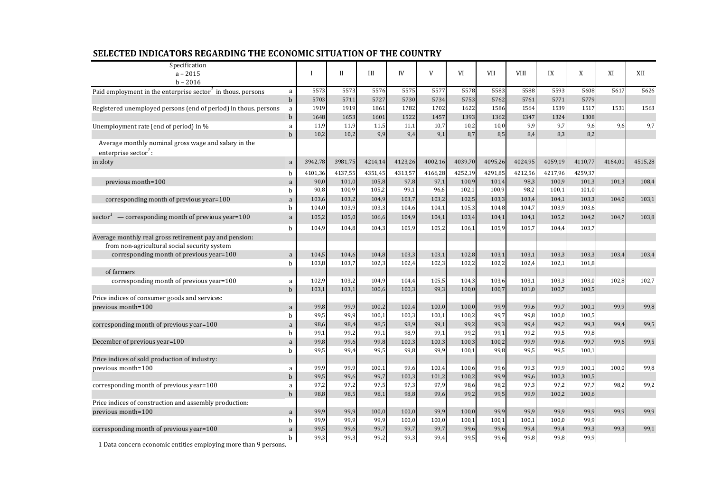| Specification<br>$a - 2015$                                                              |              | I            | $\mathbf{I}$ | III          | IV           | V            | VI           | VII          | <b>VIII</b>  | IX            | X             | XI      | XII     |
|------------------------------------------------------------------------------------------|--------------|--------------|--------------|--------------|--------------|--------------|--------------|--------------|--------------|---------------|---------------|---------|---------|
| $b - 2016$                                                                               |              |              |              |              |              |              |              |              |              |               |               |         |         |
| Paid employment in the enterprise sector <sup><math>\ell</math></sup> in thous. persons  | a            | 5573         | 5573         | 5576         | 5575         | 5577         | 5578         | 5583         | 5588         | 5593          | 5608          | 5617    | 5626    |
|                                                                                          | $\mathbf b$  | 5703         | 5711         | 5727         | 5730         | 5734         | 5753         | 5762         | 5761         | 5771          | 5779          |         |         |
| Registered unemployed persons (end of period) in thous. persons                          | a            | 1919         | 1919         | 1861         | 1782         | 1702         | 1622         | 1586         | 1564         | 1539          | 1517          | 1531    | 1563    |
|                                                                                          | $\mathbf b$  | 1648         | 1653         | 1601         | 1522         | 1457         | 1393         | 1362         | 1347         | 1324          | 1308          |         |         |
| Unemployment rate (end of period) in %                                                   | a            | 11,9         | 11,9         | 11,5         | 11,1         | 10,7         | 10,2         | 10,0         | 9,9          | 9,7           | 9,6           | 9,6     | 9,7     |
|                                                                                          | $\mathbf b$  | 10,2         | 10,2         | 9,9          | 9,4          | 9,1          | 8,7          | 8,5          | 8,4          | 8,3           | 8,2           |         |         |
| Average monthly nominal gross wage and salary in the<br>enterprise sector <sup>1</sup> : |              |              |              |              |              |              |              |              |              |               |               |         |         |
| in zloty                                                                                 | a            | 3942,78      | 3981,75      | 4214,14      | 4123,26      | 4002,16      | 4039,70      | 4095,26      | 4024,95      | 4059,19       | 4110,77       | 4164,01 | 4515,28 |
|                                                                                          | b            | 4101,36      | 4137,55      | 4351,45      | 4313,57      | 4166,28      | 4252,19      | 4291,85      | 4212,56      | 4217,96       | 4259,37       |         |         |
| previous month=100                                                                       | a            | 90,0         | 101,0        | 105,8        | 97,8         | 97,1         | 100,9        | 101,4        | 98,3         | 100,9         | 101,3         | 101,3   | 108,4   |
|                                                                                          | $\mathbf b$  | 90,8         | 100,9        | 105,2        | 99,1         | 96,6         | 102,1        | 100,9        | 98,2         | 100,1         | 101,0         |         |         |
| corresponding month of previous year=100                                                 | a            | 103,6        | 103,2        | 104,9        | 103,7        | 103,2        | 102,5        | 103,3        | 103,4        | 104,1         | 103,3         | 104,0   | 103,1   |
|                                                                                          | b            | 104,0        | 103,9        | 103,3        | 104,6        | 104,1        | 105,3        | 104,8        | 104,7        | 103,9         | 103,6         |         |         |
| sector <sup>1</sup> — corresponding month of previous year=100                           | a            | 105,2        | 105,0        | 106,6        | 104,9        | 104,1        | 103,4        | 104,1        | 104,1        | 105,2         | 104,2         | 104,7   | 103,8   |
|                                                                                          | b            | 104,9        | 104,8        | 104,3        | 105,9        | 105,2        | 106,1        | 105,9        | 105,7        | 104,4         | 103,7         |         |         |
| Average monthly real gross retirement pay and pension:                                   |              |              |              |              |              |              |              |              |              |               |               |         |         |
| from non-agricultural social security system                                             |              |              |              |              |              |              |              |              |              |               |               |         |         |
| corresponding month of previous year=100                                                 | $\mathbf a$  | 104,5        | 104,6        | 104,8        | 103,3        | 103,1        | 102,8        | 103,1        | 103,1        | 103,3         | 103,3         | 103,4   | 103,4   |
|                                                                                          | $\mathbf b$  | 103,8        | 103,7        | 102,3        | 102,4        | 102,3        | 102,2        | 102,2        | 102,4        | 102,1         | 101,8         |         |         |
| of farmers                                                                               |              |              |              |              |              |              |              |              |              |               |               |         |         |
| corresponding month of previous year=100                                                 | a            | 102,9        | 103,2        | 104,9        | 104,4        | 105,5        | 104,3        | 103,6        | 103,1        | 103,3         | 103,0         | 102,8   | 102,7   |
|                                                                                          | $\mathbf b$  | 103,1        | 103,1        | 100,6        | 100,3        | 99,3         | 100,0        | 100,7        | 101,0        | 100,7         | 100,5         |         |         |
| Price indices of consumer goods and services:                                            |              |              |              |              |              |              |              |              |              |               |               |         |         |
| previous month=100<br>corresponding month of previous year=100                           | $\mathbf{a}$ | 99,8         | 99,9         | 100,2        | 100,4        | 100,0        | 100,0        | 99,9         | 99,6         | 99,7          | 100,1         | 99,9    | 99,8    |
|                                                                                          | b            | 99,5         | 99,9         | 100,1        | 100,3        | 100,1        | 100,2        | 99,7<br>99,3 | 99,8         | 100,0<br>99,2 | 100,5<br>99,3 | 99,4    | 99,5    |
|                                                                                          | a<br>b       | 98,6<br>99,1 | 98,4<br>99,2 | 98,5<br>99,1 | 98,9<br>98,9 | 99,1<br>99,1 | 99,2<br>99,2 | 99,1         | 99,4<br>99,2 | 99,5          | 99,8          |         |         |
| December of previous year=100                                                            | a            | 99,8         | 99,6         | 99,8         | 100,3        | 100,3        | 100,3        | 100,2        | 99,9         | 99,6          | 99,7          | 99,6    | 99,5    |
|                                                                                          | h            | 99,5         | 99,4         | 99,5         | 99,8         | 99,9         | 100,1        | 99,8         | 99,5         | 99,5          | 100,1         |         |         |
| Price indices of sold production of industry:                                            |              |              |              |              |              |              |              |              |              |               |               |         |         |
| previous month=100                                                                       | a            | 99,9         | 99,9         | 100,1        | 99,6         | 100,4        | 100,6        | 99,6         | 99,3         | 99,9          | 100,1         | 100,0   | 99,8    |
|                                                                                          | $\mathbf b$  | 99,5         | 99,6         | 99,7         | 100,3        | 101,2        | 100,2        | 99,9         | 99,6         | 100,3         | 100,5         |         |         |
| corresponding month of previous year=100                                                 | a            | 97,2         | 97,2         | 97,5         | 97,3         | 97,9         | 98,6         | 98,2         | 97,3         | 97,2          | 97,7          | 98,2    | 99,2    |
|                                                                                          | $\mathbf b$  | 98,8         | 98,5         | 98,1         | 98,8         | 99,6         | 99,2         | 99,5         | 99,9         | 100,2         | 100,6         |         |         |
| Price indices of construction and assembly production:                                   |              |              |              |              |              |              |              |              |              |               |               |         |         |
| previous month=100                                                                       | a            | 99,9         | 99,9         | 100,0        | 100,0        | 99,9         | 100,0        | 99,9         | 99,9         | 99,9          | 99,9          | 99.9    | 99,9    |
|                                                                                          | b            | 99,9         | 99,9         | 99,9         | 100,0        | 100,0        | 100,1        | 100,1        | 100,1        | 100,0         | 99,9          |         |         |
| corresponding month of previous year=100                                                 | $\mathbf{a}$ | 99,5         | 99,6         | 99,7         | 99,7         | 99,7         | 99,6         | 99,6         | 99,4         | 99,4          | 99,3          | 99,3    | 99,1    |
|                                                                                          | b            | 99,3         | 99,3         | 99,2         | 99,3         | 99,4         | 99,5         | 99,6         | 99,8         | 99,8          | 99,9          |         |         |

## **SELECTED INDICATORS REGARDING THE ECONOMIC SITUATION OF THE COUNTRY**

1 Data concern economic entities employing more than 9 persons.